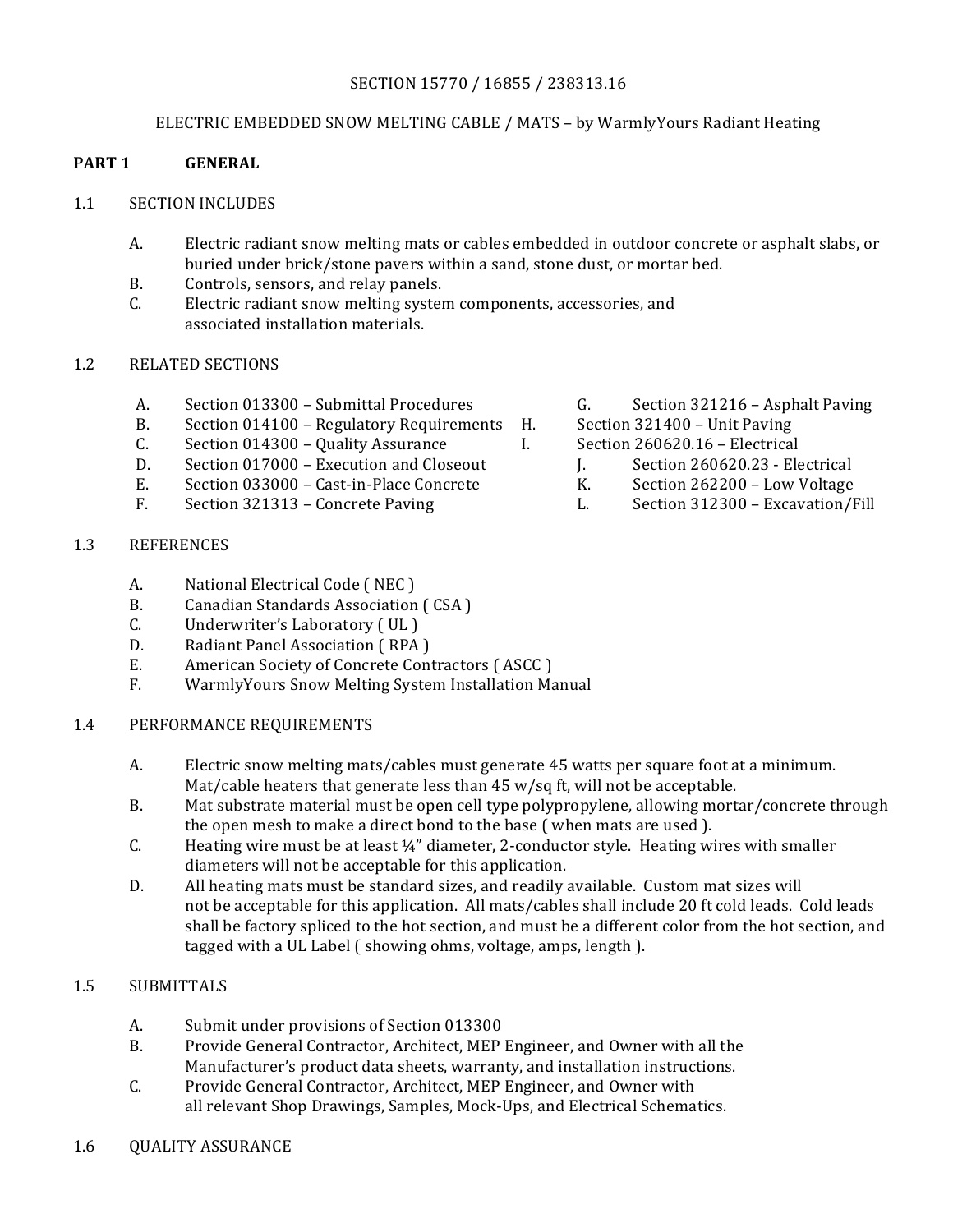#### SECTION 15770 / 16855 / 238313.16

#### ELECTRIC EMBEDDED SNOW MELTING CABLE / MATS - by WarmlyYours Radiant Heating

#### **PART 1 GENERAL**

#### 1.1 SECTION INCLUDES

- A. Electric radiant snow melting mats or cables embedded in outdoor concrete or asphalt slabs, or buried under brick/stone pavers within a sand, stone dust, or mortar bed.
- B. Controls, sensors, and relay panels.
- C. Electric radiant snow melting system components, accessories, and associated installation materials.

#### 1.2 RELATED SECTIONS

- A. Section 013300 Submittal Procedures G. Section 321216 Asphalt Paving
- B. Section 014100 Regulatory Requirements H. Section 321400 Unit Paving
- C. Section 014300 Quality Assurance I. Section 260620.16 Electrical
- D. Section 017000 Execution and Closeout J. Section 260620.23 Electrical
- E. Section 033000 Cast-in-Place Concrete K. Section 262200 Low Voltage
- F. Section 321313 Concrete Paving L. Section 312300 Excavation/Fill

#### 1.3 REFERENCES

- A. National Electrical Code (NEC)
- B. Canadian Standards Association (CSA)
- C. Underwriter's Laboratory (UL)
- D. Radiant Panel Association (RPA)
- E. American Society of Concrete Contractors (ASCC)
- F. WarmlyYours Snow Melting System Installation Manual
- 1.4 PERFORMANCE REQUIREMENTS
	- A. Electric snow melting mats/cables must generate 45 watts per square foot at a minimum. Mat/cable heaters that generate less than  $45 w/sq$  ft, will not be acceptable.
	- B. Mat substrate material must be open cell type polypropylene, allowing mortar/concrete through the open mesh to make a direct bond to the base (when mats are used ).
	- C. Heating wire must be at least  $\frac{1}{4}$ " diameter, 2-conductor style. Heating wires with smaller diameters will not be acceptable for this application.
	- D. All heating mats must be standard sizes, and readily available. Custom mat sizes will not be acceptable for this application. All mats/cables shall include 20 ft cold leads. Cold leads shall be factory spliced to the hot section, and must be a different color from the hot section, and tagged with a UL Label ( showing ohms, voltage, amps, length ).

### 1.5 SUBMITTALS

- A. Submit under provisions of Section 013300
- B. Provide General Contractor, Architect, MEP Engineer, and Owner with all the Manufacturer's product data sheets, warranty, and installation instructions.
- C. Provide General Contractor, Architect, MEP Engineer, and Owner with all relevant Shop Drawings, Samples, Mock-Ups, and Electrical Schematics.
- 1.6 QUALITY ASSURANCE
- 
- 
- -
	-
	-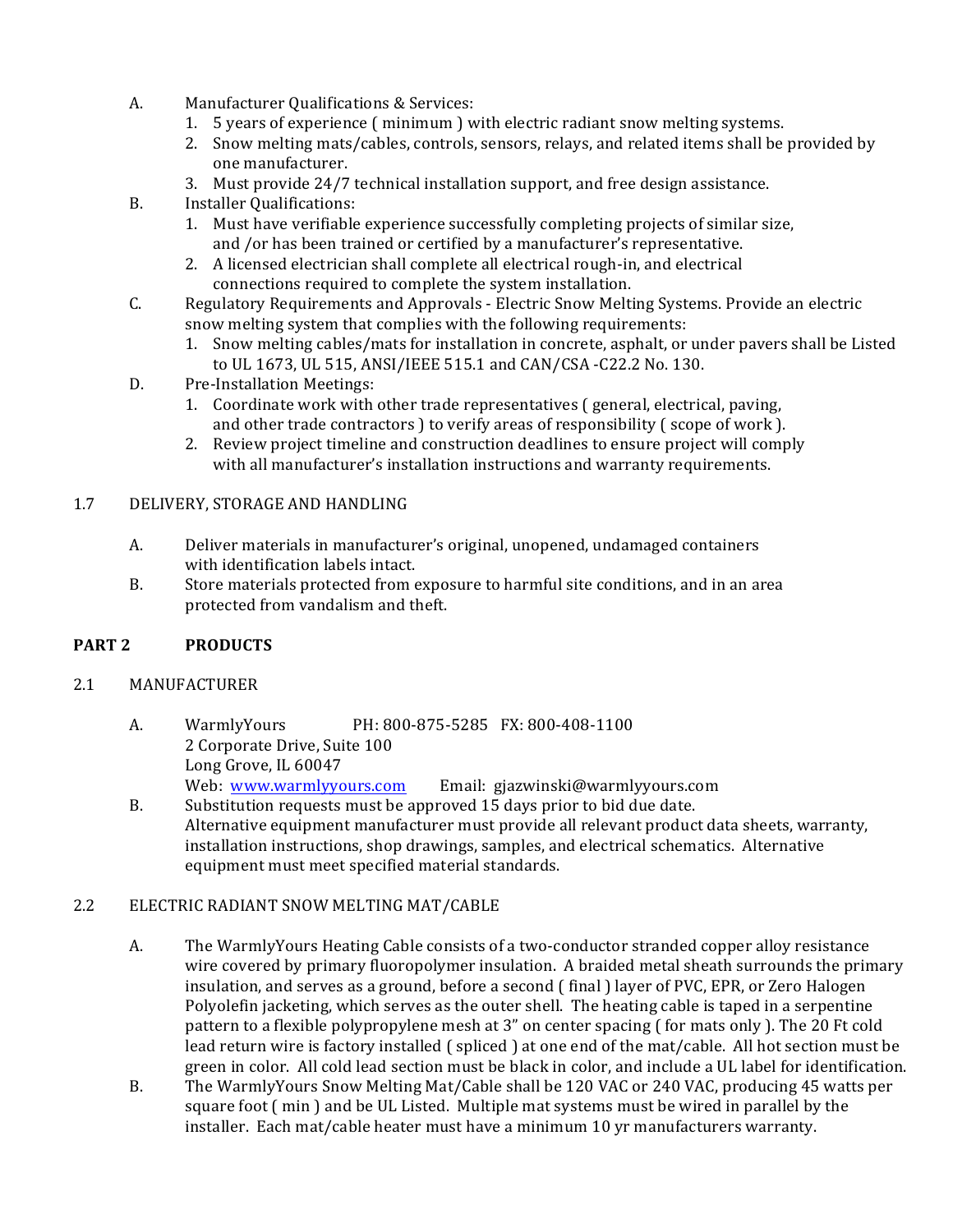- A. Manufacturer Qualifications & Services:
	- 1. 5 years of experience ( $minimum$ ) with electric radiant snow melting systems.
	- 2. Snow melting mats/cables, controls, sensors, relays, and related items shall be provided by one manufacturer.
	- 3. Must provide 24/7 technical installation support, and free design assistance.
- B. Installer Qualifications:
	- 1. Must have verifiable experience successfully completing projects of similar size, and /or has been trained or certified by a manufacturer's representative.
	- 2. A licensed electrician shall complete all electrical rough-in, and electrical connections required to complete the system installation.
- C. Regulatory Requirements and Approvals Electric Snow Melting Systems. Provide an electric snow melting system that complies with the following requirements:
	- 1. Snow melting cables/mats for installation in concrete, asphalt, or under pavers shall be Listed to UL 1673, UL 515, ANSI/IEEE 515.1 and CAN/CSA -C22.2 No. 130.
- D. Pre-Installation Meetings:
	- 1. Coordinate work with other trade representatives ( general, electrical, paving, and other trade contractors ) to verify areas of responsibility (scope of work ).
	- 2. Review project timeline and construction deadlines to ensure project will comply with all manufacturer's installation instructions and warranty requirements.

# 1.7 DELIVERY, STORAGE AND HANDLING

- A. Deliver materials in manufacturer's original, unopened, undamaged containers with identification labels intact.
- B. Store materials protected from exposure to harmful site conditions, and in an area protected from vandalism and theft.

# **PART 2 PRODUCTS**

### 2.1 MANUFACTURER

- A. WarmlyYours PH: 800-875-5285 FX: 800-408-1100 2 Corporate Drive, Suite 100 Long Grove, IL 60047 Web: www.warmlyyours.com Email: gjazwinski@warmlyyours.com
- B. Substitution requests must be approved 15 days prior to bid due date. Alternative equipment manufacturer must provide all relevant product data sheets, warranty, installation instructions, shop drawings, samples, and electrical schematics. Alternative equipment must meet specified material standards.

### 2.2 ELECTRIC RADIANT SNOW MELTING MAT/CABLE

- A. The WarmlyYours Heating Cable consists of a two-conductor stranded copper alloy resistance wire covered by primary fluoropolymer insulation. A braided metal sheath surrounds the primary insulation, and serves as a ground, before a second (final) layer of PVC, EPR, or Zero Halogen Polyolefin jacketing, which serves as the outer shell. The heating cable is taped in a serpentine pattern to a flexible polypropylene mesh at 3" on center spacing ( for mats only ). The 20 Ft cold lead return wire is factory installed (spliced) at one end of the mat/cable. All hot section must be green in color. All cold lead section must be black in color, and include a UL label for identification.
- B. The WarmlyYours Snow Melting Mat/Cable shall be 120 VAC or 240 VAC, producing 45 watts per square foot  $( \text{ min } )$  and be UL Listed. Multiple mat systems must be wired in parallel by the installer. Each mat/cable heater must have a minimum 10 yr manufacturers warranty.